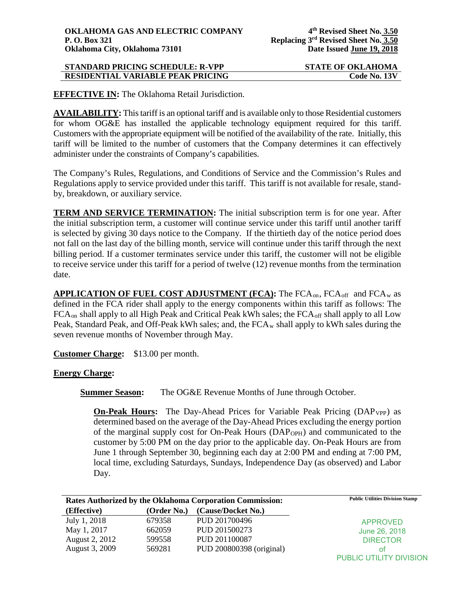| <b>STANDARD PRICING SCHEDULE: R-VPP</b>  | <b>STATE OF OKLAHOMA</b> |
|------------------------------------------|--------------------------|
| <b>RESIDENTIAL VARIABLE PEAK PRICING</b> | Code No. 13V             |

**EFFECTIVE IN:** The Oklahoma Retail Jurisdiction.

**AVAILABILITY:** This tariff is an optional tariff and is available only to those Residential customers for whom OG&E has installed the applicable technology equipment required for this tariff. Customers with the appropriate equipment will be notified of the availability of the rate. Initially, this tariff will be limited to the number of customers that the Company determines it can effectively administer under the constraints of Company's capabilities.

The Company's Rules, Regulations, and Conditions of Service and the Commission's Rules and Regulations apply to service provided under this tariff. This tariff is not available for resale, standby, breakdown, or auxiliary service.

**TERM AND SERVICE TERMINATION:** The initial subscription term is for one year. After the initial subscription term, a customer will continue service under this tariff until another tariff is selected by giving 30 days notice to the Company. If the thirtieth day of the notice period does not fall on the last day of the billing month, service will continue under this tariff through the next billing period. If a customer terminates service under this tariff, the customer will not be eligible to receive service under this tariff for a period of twelve (12) revenue months from the termination date.

**APPLICATION OF FUEL COST ADJUSTMENT (FCA):** The FCA<sub>on</sub>, FCA<sub>off</sub> and FCA<sub>w</sub> as defined in the FCA rider shall apply to the energy components within this tariff as follows: The FCA<sub>on</sub> shall apply to all High Peak and Critical Peak kWh sales; the FCA<sub>off</sub> shall apply to all Low Peak, Standard Peak, and Off-Peak kWh sales; and, the  $FCA_w$  shall apply to kWh sales during the seven revenue months of November through May.

**Customer Charge:** \$13.00 per month.

**Energy Charge:**

**Summer Season:** The OG&E Revenue Months of June through October.

**On-Peak Hours:** The Day-Ahead Prices for Variable Peak Pricing (DAP<sub>VPP</sub>) as determined based on the average of the Day-Ahead Prices excluding the energy portion of the marginal supply cost for On-Peak Hours  $(DAP<sub>OPH</sub>)$  and communicated to the customer by 5:00 PM on the day prior to the applicable day. On-Peak Hours are from June 1 through September 30, beginning each day at 2:00 PM and ending at 7:00 PM, local time, excluding Saturdays, Sundays, Independence Day (as observed) and Labor Day.

|                |             | <b>Rates Authorized by the Oklahoma Corporation Commission:</b> | <b>Public Utilities Division Stamp</b> |
|----------------|-------------|-----------------------------------------------------------------|----------------------------------------|
| (Effective)    | (Order No.) | (Cause/Docket No.)                                              |                                        |
| July 1, 2018   | 679358      | PUD 201700496                                                   | <b>APPROVED</b>                        |
| May 1, 2017    | 662059      | PUD 201500273                                                   | June 26, 2018                          |
| August 2, 2012 | 599558      | PUD 201100087                                                   | <b>DIRECTOR</b>                        |
| August 3, 2009 | 569281      | PUD 200800398 (original)                                        | οf                                     |
|                |             |                                                                 | PUBLIC UTILITY DIVISION                |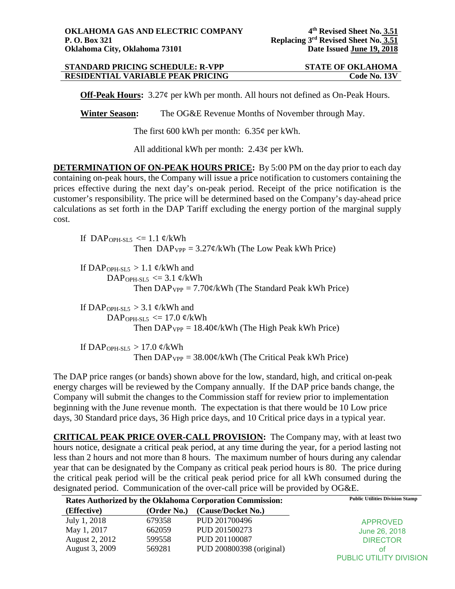## **STANDARD PRICING SCHEDULE: R-VPP STATE OF OKLAHOMA<br>
RESIDENTIAL VARIABLE PEAK PRICING Code No. 13V RESIDENTIAL VARIABLE PEAK PRICING**

**Off-Peak Hours:** 3.27¢ per kWh per month. All hours not defined as On-Peak Hours.

**Winter Season:** The OG&E Revenue Months of November through May.

The first 600 kWh per month: 6.35¢ per kWh.

All additional kWh per month: 2.43¢ per kWh.

**DETERMINATION OF ON-PEAK HOURS PRICE:** By 5:00 PM on the day prior to each day containing on-peak hours, the Company will issue a price notification to customers containing the prices effective during the next day's on-peak period. Receipt of the price notification is the customer's responsibility. The price will be determined based on the Company's day-ahead price calculations as set forth in the DAP Tariff excluding the energy portion of the marginal supply cost.

If DAP<sub>OPH-SL5</sub>  $\leq$  1.1 ¢/kWh Then  $DAP_{VPP} = 3.27 \frac{\epsilon}{kWh}$  (The Low Peak kWh Price)

If DAP<sub>OPH-SL5</sub> > 1.1  $\phi$ /kWh and DAP<sub>OPH-SL5</sub>  $\leq$  3.1 ¢/kWh Then  $DAP_{VPP} = 7.70 \phi / kWh$  (The Standard Peak kWh Price)

If DAP<sub>OPH-SL5</sub>  $>$  3.1 ¢/kWh and DAP<sub>OPH-SL5</sub>  $\leq$  17.0 ¢/kWh Then  $DAP_{VPP} = 18.40 \frac{\epsilon}{kWh}$  (The High Peak kWh Price)

If DAP<sub>OPH-SL5</sub>  $> 17.0$  ¢/kWh Then  $DAP_{VPP} = 38.00 \frac{\epsilon}{kWh}$  (The Critical Peak kWh Price)

The DAP price ranges (or bands) shown above for the low, standard, high, and critical on-peak energy charges will be reviewed by the Company annually. If the DAP price bands change, the Company will submit the changes to the Commission staff for review prior to implementation beginning with the June revenue month. The expectation is that there would be 10 Low price days, 30 Standard price days, 36 High price days, and 10 Critical price days in a typical year.

**CRITICAL PEAK PRICE OVER-CALL PROVISION:** The Company may, with at least two hours notice, designate a critical peak period, at any time during the year, for a period lasting not less than 2 hours and not more than 8 hours. The maximum number of hours during any calendar year that can be designated by the Company as critical peak period hours is 80. The price during the critical peak period will be the critical peak period price for all kWh consumed during the designated period. Communication of the over-call price will be provided by OG&E.

| Rates Authorized by the Oklahoma Corporation Commission: |             | <b>Public Utilities Division Stamp</b> |                         |
|----------------------------------------------------------|-------------|----------------------------------------|-------------------------|
| (Effective)                                              | (Order No.) | (Cause/Docket No.)                     |                         |
| July 1, 2018                                             | 679358      | PUD 201700496                          | <b>APPROVED</b>         |
| May 1, 2017                                              | 662059      | PUD 201500273                          | June 26, 2018           |
| August 2, 2012                                           | 599558      | PUD 201100087                          | <b>DIRECTOR</b>         |
| August 3, 2009                                           | 569281      | PUD 200800398 (original)               | οf                      |
|                                                          |             |                                        | PUBLIC UTILITY DIVISION |